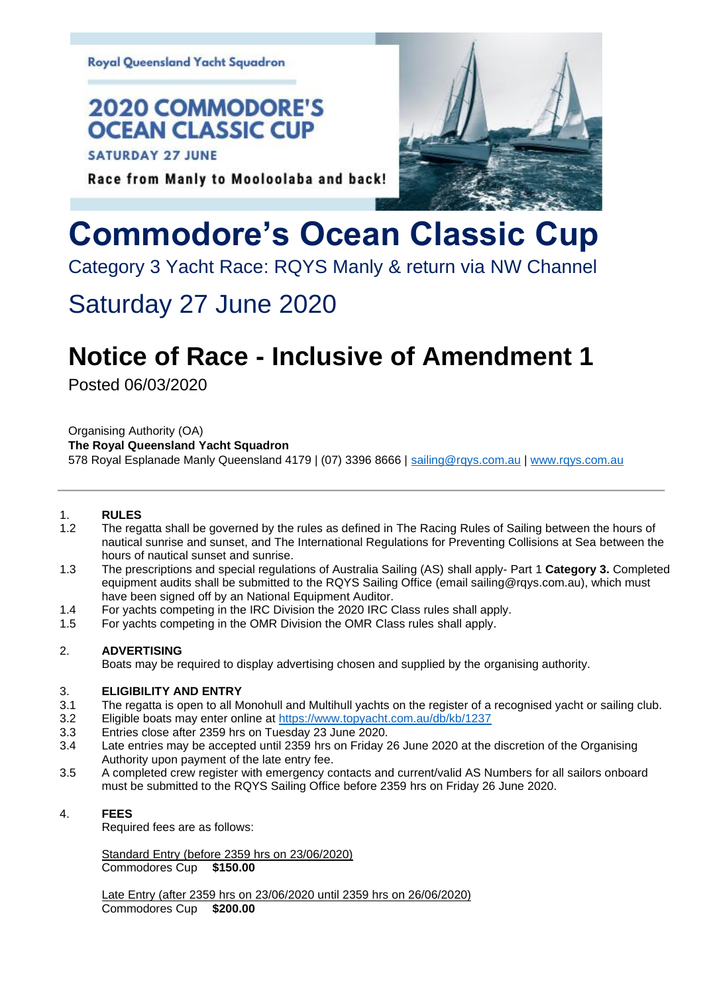**Royal Queensland Yacht Squadron** 

### **2020 COMMODORE'S OCEAN CLASSIC CUP**

**SATURDAY 27 JUNE** 

### Race from Manly to Mooloolaba and back!

# **Commodore's Ocean Classic Cup**

Category 3 Yacht Race: RQYS Manly & return via NW Channel

### Saturday 27 June 2020

## **Notice of Race - Inclusive of Amendment 1**

Posted 06/03/2020

Organising Authority (OA)

**The Royal Queensland Yacht Squadron**

578 Royal Esplanade Manly Queensland 4179 | (07) 3396 8666 | [sailing@rqys.com.au](mailto:sailing@rqys.com.au) | [www.rqys.com.au](http://www.rqys.com.au/)

#### 1. **RULES**

- 1.2 The regatta shall be governed by the rules as defined in The Racing Rules of Sailing between the hours of nautical sunrise and sunset, and The International Regulations for Preventing Collisions at Sea between the hours of nautical sunset and sunrise.
- 1.3 The prescriptions and special regulations of Australia Sailing (AS) shall apply- Part 1 **Category 3.** Completed equipment audits shall be submitted to the RQYS Sailing Office (email sailing@rqys.com.au), which must have been signed off by an National Equipment Auditor.
- 1.4 For yachts competing in the IRC Division the 2020 IRC Class rules shall apply.
- 1.5 For yachts competing in the OMR Division the OMR Class rules shall apply.

#### 2. **ADVERTISING**

Boats may be required to display advertising chosen and supplied by the organising authority.

#### 3. **ELIGIBILITY AND ENTRY**

- 3.1 The regatta is open to all Monohull and Multihull yachts on the register of a recognised yacht or sailing club.
- 3.2 Eligible boats may enter online at<https://www.topyacht.com.au/db/kb/1237>
- 3.3 Entries close after 2359 hrs on Tuesday 23 June 2020.
- 3.4 Late entries may be accepted until 2359 hrs on Friday 26 June 2020 at the discretion of the Organising Authority upon payment of the late entry fee.
- 3.5 A completed crew register with emergency contacts and current/valid AS Numbers for all sailors onboard must be submitted to the RQYS Sailing Office before 2359 hrs on Friday 26 June 2020.

#### 4. **FEES**

Required fees are as follows:

Standard Entry (before 2359 hrs on 23/06/2020) Commodores Cup **\$150.00**

Late Entry (after 2359 hrs on 23/06/2020 until 2359 hrs on 26/06/2020) Commodores Cup **\$200.00**